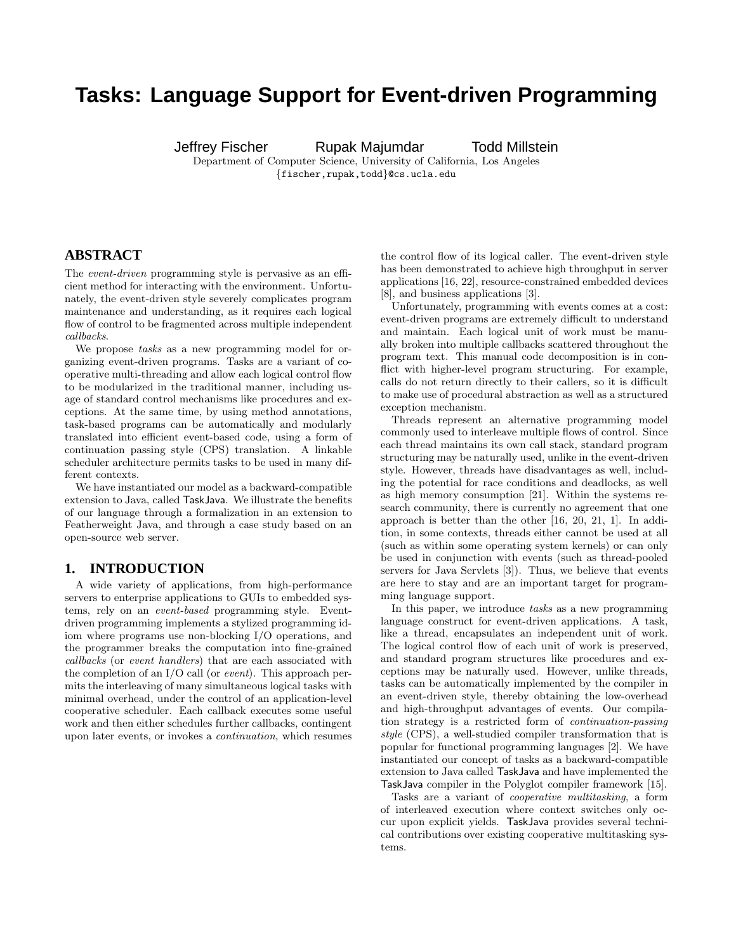# **Tasks: Language Support for Event-driven Programming**

Jeffrey Fischer Rupak Majumdar Todd Millstein

Department of Computer Science, University of California, Los Angeles {fischer,rupak,todd}@cs.ucla.edu

### **ABSTRACT**

The *event-driven* programming style is pervasive as an efficient method for interacting with the environment. Unfortunately, the event-driven style severely complicates program maintenance and understanding, as it requires each logical flow of control to be fragmented across multiple independent callbacks.

We propose tasks as a new programming model for organizing event-driven programs. Tasks are a variant of cooperative multi-threading and allow each logical control flow to be modularized in the traditional manner, including usage of standard control mechanisms like procedures and exceptions. At the same time, by using method annotations, task-based programs can be automatically and modularly translated into efficient event-based code, using a form of continuation passing style (CPS) translation. A linkable scheduler architecture permits tasks to be used in many different contexts.

We have instantiated our model as a backward-compatible extension to Java, called TaskJava. We illustrate the benefits of our language through a formalization in an extension to Featherweight Java, and through a case study based on an open-source web server.

### **1. INTRODUCTION**

A wide variety of applications, from high-performance servers to enterprise applications to GUIs to embedded systems, rely on an event-based programming style. Eventdriven programming implements a stylized programming idiom where programs use non-blocking I/O operations, and the programmer breaks the computation into fine-grained callbacks (or event handlers) that are each associated with the completion of an I/O call (or event). This approach permits the interleaving of many simultaneous logical tasks with minimal overhead, under the control of an application-level cooperative scheduler. Each callback executes some useful work and then either schedules further callbacks, contingent upon later events, or invokes a continuation, which resumes

the control flow of its logical caller. The event-driven style has been demonstrated to achieve high throughput in server applications [16, 22], resource-constrained embedded devices [8], and business applications [3].

Unfortunately, programming with events comes at a cost: event-driven programs are extremely difficult to understand and maintain. Each logical unit of work must be manually broken into multiple callbacks scattered throughout the program text. This manual code decomposition is in conflict with higher-level program structuring. For example, calls do not return directly to their callers, so it is difficult to make use of procedural abstraction as well as a structured exception mechanism.

Threads represent an alternative programming model commonly used to interleave multiple flows of control. Since each thread maintains its own call stack, standard program structuring may be naturally used, unlike in the event-driven style. However, threads have disadvantages as well, including the potential for race conditions and deadlocks, as well as high memory consumption [21]. Within the systems research community, there is currently no agreement that one approach is better than the other [16, 20, 21, 1]. In addition, in some contexts, threads either cannot be used at all (such as within some operating system kernels) or can only be used in conjunction with events (such as thread-pooled servers for Java Servlets [3]). Thus, we believe that events are here to stay and are an important target for programming language support.

In this paper, we introduce tasks as a new programming language construct for event-driven applications. A task, like a thread, encapsulates an independent unit of work. The logical control flow of each unit of work is preserved, and standard program structures like procedures and exceptions may be naturally used. However, unlike threads, tasks can be automatically implemented by the compiler in an event-driven style, thereby obtaining the low-overhead and high-throughput advantages of events. Our compilation strategy is a restricted form of continuation-passing style (CPS), a well-studied compiler transformation that is popular for functional programming languages [2]. We have instantiated our concept of tasks as a backward-compatible extension to Java called TaskJava and have implemented the TaskJava compiler in the Polyglot compiler framework [15].

Tasks are a variant of cooperative multitasking, a form of interleaved execution where context switches only occur upon explicit yields. TaskJava provides several technical contributions over existing cooperative multitasking systems.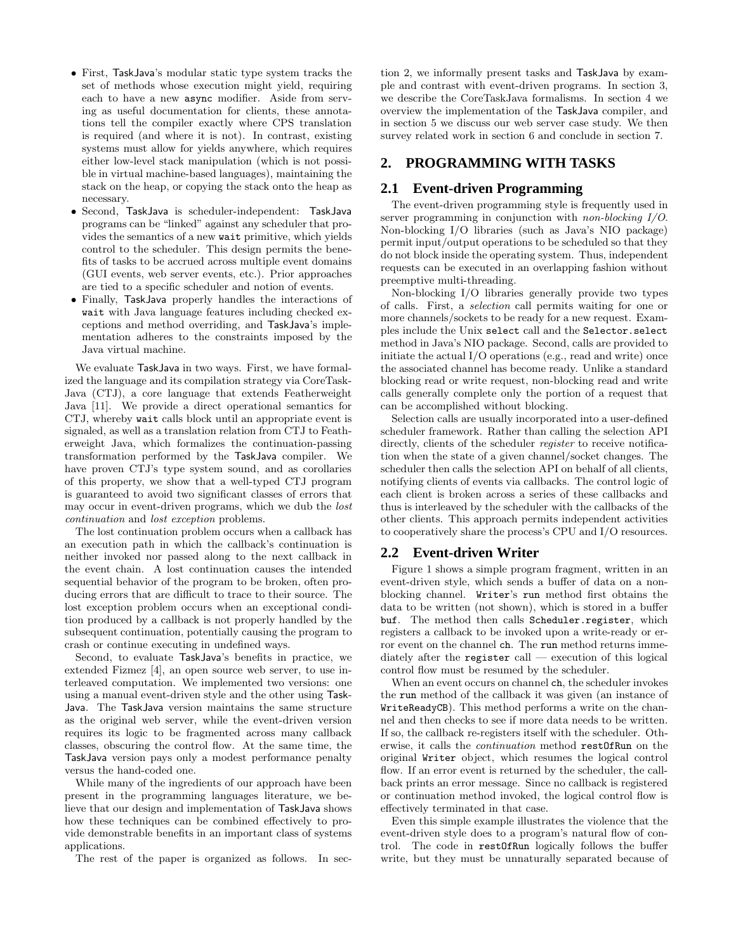- First, TaskJava's modular static type system tracks the set of methods whose execution might yield, requiring each to have a new async modifier. Aside from serving as useful documentation for clients, these annotations tell the compiler exactly where CPS translation is required (and where it is not). In contrast, existing systems must allow for yields anywhere, which requires either low-level stack manipulation (which is not possible in virtual machine-based languages), maintaining the stack on the heap, or copying the stack onto the heap as necessary.
- Second, TaskJava is scheduler-independent: TaskJava programs can be "linked" against any scheduler that provides the semantics of a new wait primitive, which yields control to the scheduler. This design permits the benefits of tasks to be accrued across multiple event domains (GUI events, web server events, etc.). Prior approaches are tied to a specific scheduler and notion of events.
- Finally, TaskJava properly handles the interactions of wait with Java language features including checked exceptions and method overriding, and TaskJava's implementation adheres to the constraints imposed by the Java virtual machine.

We evaluate TaskJava in two ways. First, we have formalized the language and its compilation strategy via CoreTask-Java (CTJ), a core language that extends Featherweight Java [11]. We provide a direct operational semantics for CTJ, whereby wait calls block until an appropriate event is signaled, as well as a translation relation from CTJ to Featherweight Java, which formalizes the continuation-passing transformation performed by the TaskJava compiler. We have proven CTJ's type system sound, and as corollaries of this property, we show that a well-typed CTJ program is guaranteed to avoid two significant classes of errors that may occur in event-driven programs, which we dub the *lost* continuation and lost exception problems.

The lost continuation problem occurs when a callback has an execution path in which the callback's continuation is neither invoked nor passed along to the next callback in the event chain. A lost continuation causes the intended sequential behavior of the program to be broken, often producing errors that are difficult to trace to their source. The lost exception problem occurs when an exceptional condition produced by a callback is not properly handled by the subsequent continuation, potentially causing the program to crash or continue executing in undefined ways.

Second, to evaluate TaskJava's benefits in practice, we extended Fizmez [4], an open source web server, to use interleaved computation. We implemented two versions: one using a manual event-driven style and the other using Task-Java. The TaskJava version maintains the same structure as the original web server, while the event-driven version requires its logic to be fragmented across many callback classes, obscuring the control flow. At the same time, the TaskJava version pays only a modest performance penalty versus the hand-coded one.

While many of the ingredients of our approach have been present in the programming languages literature, we believe that our design and implementation of TaskJava shows how these techniques can be combined effectively to provide demonstrable benefits in an important class of systems applications.

The rest of the paper is organized as follows. In sec-

tion 2, we informally present tasks and TaskJava by example and contrast with event-driven programs. In section 3, we describe the CoreTaskJava formalisms. In section 4 we overview the implementation of the TaskJava compiler, and in section 5 we discuss our web server case study. We then survey related work in section 6 and conclude in section 7.

### **2. PROGRAMMING WITH TASKS**

### **2.1 Event-driven Programming**

The event-driven programming style is frequently used in server programming in conjunction with *non-blocking I/O*. Non-blocking I/O libraries (such as Java's NIO package) permit input/output operations to be scheduled so that they do not block inside the operating system. Thus, independent requests can be executed in an overlapping fashion without preemptive multi-threading.

Non-blocking I/O libraries generally provide two types of calls. First, a selection call permits waiting for one or more channels/sockets to be ready for a new request. Examples include the Unix select call and the Selector.select method in Java's NIO package. Second, calls are provided to initiate the actual I/O operations (e.g., read and write) once the associated channel has become ready. Unlike a standard blocking read or write request, non-blocking read and write calls generally complete only the portion of a request that can be accomplished without blocking.

Selection calls are usually incorporated into a user-defined scheduler framework. Rather than calling the selection API directly, clients of the scheduler *register* to receive notification when the state of a given channel/socket changes. The scheduler then calls the selection API on behalf of all clients, notifying clients of events via callbacks. The control logic of each client is broken across a series of these callbacks and thus is interleaved by the scheduler with the callbacks of the other clients. This approach permits independent activities to cooperatively share the process's CPU and I/O resources.

### **2.2 Event-driven Writer**

Figure 1 shows a simple program fragment, written in an event-driven style, which sends a buffer of data on a nonblocking channel. Writer's run method first obtains the data to be written (not shown), which is stored in a buffer buf. The method then calls Scheduler.register, which registers a callback to be invoked upon a write-ready or error event on the channel ch. The run method returns immediately after the register call — execution of this logical control flow must be resumed by the scheduler.

When an event occurs on channel ch, the scheduler invokes the run method of the callback it was given (an instance of WriteReadyCB). This method performs a write on the channel and then checks to see if more data needs to be written. If so, the callback re-registers itself with the scheduler. Otherwise, it calls the continuation method restOfRun on the original Writer object, which resumes the logical control flow. If an error event is returned by the scheduler, the callback prints an error message. Since no callback is registered or continuation method invoked, the logical control flow is effectively terminated in that case.

Even this simple example illustrates the violence that the event-driven style does to a program's natural flow of control. The code in restOfRun logically follows the buffer write, but they must be unnaturally separated because of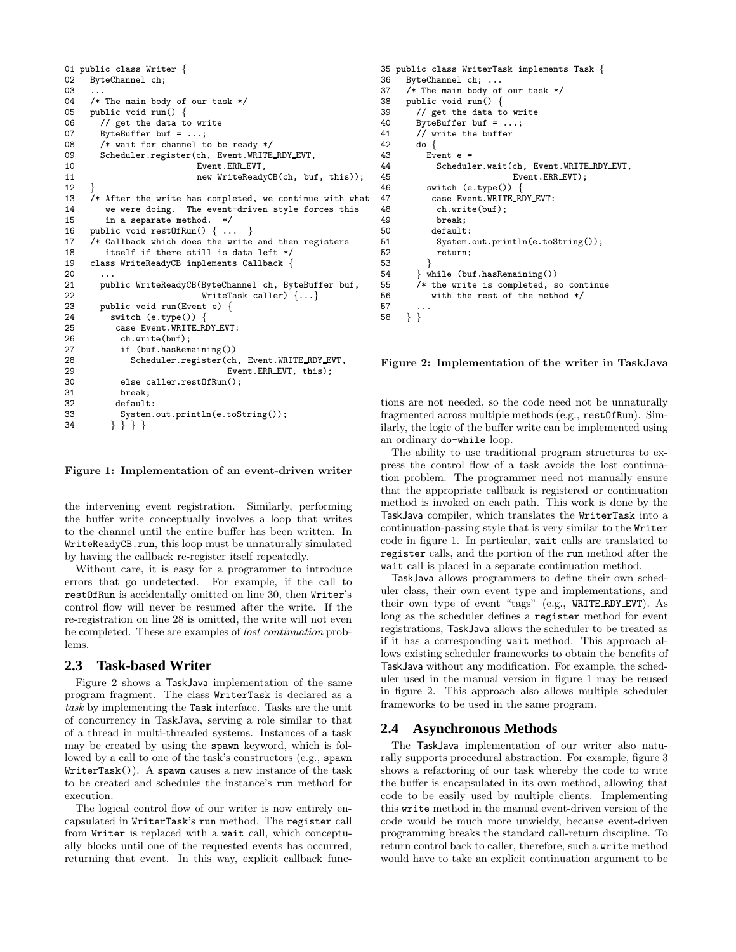```
01 public class Writer {<br>02 ByteChannel ch:
     ByteChannel ch;
0304 /* The main body of our task */
05 public void run() {
06 // get the data to write<br>07 ByteBuffer buf = ...:
       ByteBuffer buf = \dots;08 /* wait for channel to be ready */
09 Scheduler.register(ch, Event.WRITE RDY EVT,
10 Event.ERR EVT,
11 new WriteReadyCB(ch, buf, this));
12 }
13 /* After the write has completed, we continue with what 14 we were doing. The event-driven style forces this
        we were doing. The event-driven style forces this
15 in a separate method. */<br>16 public void rest0fRun() {...
16 public void restOfRun() \{ \ldots \}<br>17 /* Callback which does the wr
     /* Callback which does the write and then registers
18 itself if there still is data left */
19 class WriteReadyCB implements Callback {
20
21 public WriteReadyCB(ByteChannel ch, ByteBuffer buf,<br>22 WriteTask caller) {...}
                             WriteTask caller) \{... \}23 public void run(Event e) {
24 switch (e.type()) {
25 case Event.WRITE RDY EVT:
26 ch.write(buf);<br>27 if (buf.hasRem.
            if (buf.hasRemaining())
28 Scheduler.register(ch, Event.WRITE RDY EVT,
29 Event.ERR_EVT, this);<br>30 else caller.rest0fRun():
            else caller.restOfRun();
31 break;
32 default:
33 System.out.println(e.toString());
34 } } } }
```
#### Figure 1: Implementation of an event-driven writer

the intervening event registration. Similarly, performing the buffer write conceptually involves a loop that writes to the channel until the entire buffer has been written. In WriteReadyCB.run, this loop must be unnaturally simulated by having the callback re-register itself repeatedly.

Without care, it is easy for a programmer to introduce errors that go undetected. For example, if the call to restOfRun is accidentally omitted on line 30, then Writer's control flow will never be resumed after the write. If the re-registration on line 28 is omitted, the write will not even be completed. These are examples of lost continuation problems.

### **2.3 Task-based Writer**

Figure 2 shows a TaskJava implementation of the same program fragment. The class WriterTask is declared as a task by implementing the Task interface. Tasks are the unit of concurrency in TaskJava, serving a role similar to that of a thread in multi-threaded systems. Instances of a task may be created by using the spawn keyword, which is followed by a call to one of the task's constructors (e.g., spawn) WriterTask()). A spawn causes a new instance of the task to be created and schedules the instance's run method for execution.

The logical control flow of our writer is now entirely encapsulated in WriterTask's run method. The register call from Writer is replaced with a wait call, which conceptually blocks until one of the requested events has occurred, returning that event. In this way, explicit callback func-

```
35 public class WriterTask implements Task {
     ByteChannel ch; ...
37 /* The main body of our task */
38 public void run() {
39 // get the data to write
40 ByteBuffer buf = ...;<br>41 // write the buffer
       // write the buffer
42 do {
43 Event e =
44 Scheduler.wait(ch, Event.WRITE_RDY_EVT,<br>45 Event.ERR_EVT);
                             Event.ERR_EVT);
46 switch (e.type()) {
47 case Event.WRITE_RDY_EVT:<br>48 ch.write(buf):
            ch.write(buf);
49 break;<br>50 default
           default:
51 System.out.println(e.toString());
52 return;
53 }
        54 } while (buf.hasRemaining())
55 /* the write is completed, so continue<br>56 with the rest of the method */with the rest of the method */57
58 } }
```
Figure 2: Implementation of the writer in TaskJava

tions are not needed, so the code need not be unnaturally fragmented across multiple methods (e.g., restOfRun). Similarly, the logic of the buffer write can be implemented using an ordinary do-while loop.

The ability to use traditional program structures to express the control flow of a task avoids the lost continuation problem. The programmer need not manually ensure that the appropriate callback is registered or continuation method is invoked on each path. This work is done by the TaskJava compiler, which translates the WriterTask into a continuation-passing style that is very similar to the Writer code in figure 1. In particular, wait calls are translated to register calls, and the portion of the run method after the wait call is placed in a separate continuation method.

TaskJava allows programmers to define their own scheduler class, their own event type and implementations, and their own type of event "tags" (e.g., WRITE RDY EVT). As long as the scheduler defines a register method for event registrations, TaskJava allows the scheduler to be treated as if it has a corresponding wait method. This approach allows existing scheduler frameworks to obtain the benefits of TaskJava without any modification. For example, the scheduler used in the manual version in figure 1 may be reused in figure 2. This approach also allows multiple scheduler frameworks to be used in the same program.

### **2.4 Asynchronous Methods**

The TaskJava implementation of our writer also naturally supports procedural abstraction. For example, figure 3 shows a refactoring of our task whereby the code to write the buffer is encapsulated in its own method, allowing that code to be easily used by multiple clients. Implementing this write method in the manual event-driven version of the code would be much more unwieldy, because event-driven programming breaks the standard call-return discipline. To return control back to caller, therefore, such a write method would have to take an explicit continuation argument to be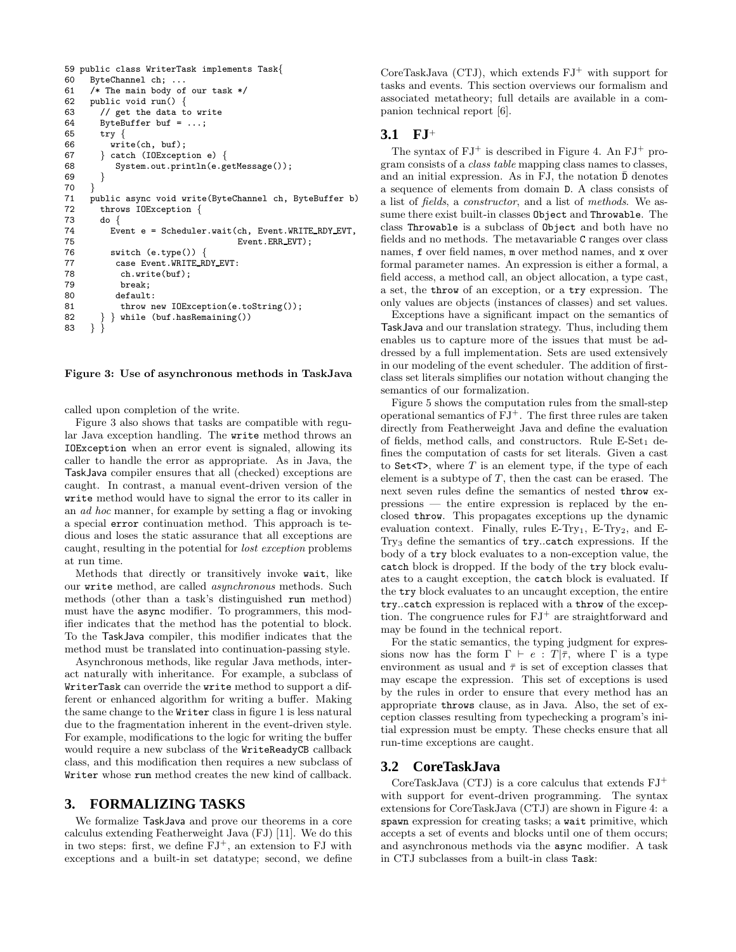```
59 public class WriterTask implements Task{60} ByteChannel ch: ...
     ByteChannel ch; ...
61 /* The main body of our task */
62 public void run() {
63 // get the data to write
64 ByteBuffer buf = ...;<br>65 try {
       try \{66 write(ch, buf);
67 } catch (IOException e) {
68 System.out.println(e.getMessage());
69 }
70 }
71 public async void write(ByteChannel ch, ByteBuffer b)<br>72 throws IOException {
       throws IOException {
73 do {
74 Event e = Scheduler.wait(ch, Event.WRITE_RDY_EVT,<br>75 Event.ERR_EVT):
75 Event.ERR_EVT);<br>76 switch (e.tvpe()) {
76 switch (e.type()) {<br>77 case Event.WRITE_R
77 case Event.WRITE_RDY_EVT:<br>78 ch.write(buf);
            ch.write(buf);
79 break;<br>80 default
           default:
81 throw new IOException(e.toString());
82 } } while (buf.hasRemaining())
83 } }
```
Figure 3: Use of asynchronous methods in TaskJava

called upon completion of the write.

Figure 3 also shows that tasks are compatible with regular Java exception handling. The write method throws an IOException when an error event is signaled, allowing its caller to handle the error as appropriate. As in Java, the TaskJava compiler ensures that all (checked) exceptions are caught. In contrast, a manual event-driven version of the write method would have to signal the error to its caller in an ad hoc manner, for example by setting a flag or invoking a special error continuation method. This approach is tedious and loses the static assurance that all exceptions are caught, resulting in the potential for lost exception problems at run time.

Methods that directly or transitively invoke wait, like our write method, are called asynchronous methods. Such methods (other than a task's distinguished run method) must have the async modifier. To programmers, this modifier indicates that the method has the potential to block. To the TaskJava compiler, this modifier indicates that the method must be translated into continuation-passing style.

Asynchronous methods, like regular Java methods, interact naturally with inheritance. For example, a subclass of WriterTask can override the write method to support a different or enhanced algorithm for writing a buffer. Making the same change to the Writer class in figure 1 is less natural due to the fragmentation inherent in the event-driven style. For example, modifications to the logic for writing the buffer would require a new subclass of the WriteReadyCB callback class, and this modification then requires a new subclass of Writer whose run method creates the new kind of callback.

### **3. FORMALIZING TASKS**

We formalize TaskJava and prove our theorems in a core calculus extending Featherweight Java (FJ) [11]. We do this in two steps: first, we define  $FJ^+$ , an extension to FJ with exceptions and a built-in set datatype; second, we define

CoreTaskJava (CTJ), which extends  $FJ^+$  with support for tasks and events. This section overviews our formalism and associated metatheory; full details are available in a companion technical report [6].

### **3.1 FJ**<sup>+</sup>

The syntax of  $FJ^+$  is described in Figure 4. An  $FJ^+$  program consists of a class table mapping class names to classes, and an initial expression. As in FJ, the notation  $\bar{D}$  denotes a sequence of elements from domain D. A class consists of a list of fields, a constructor, and a list of methods. We assume there exist built-in classes Object and Throwable. The class Throwable is a subclass of Object and both have no fields and no methods. The metavariable C ranges over class names, f over field names, m over method names, and x over formal parameter names. An expression is either a formal, a field access, a method call, an object allocation, a type cast, a set, the throw of an exception, or a try expression. The only values are objects (instances of classes) and set values.

Exceptions have a significant impact on the semantics of TaskJava and our translation strategy. Thus, including them enables us to capture more of the issues that must be addressed by a full implementation. Sets are used extensively in our modeling of the event scheduler. The addition of firstclass set literals simplifies our notation without changing the semantics of our formalization.

Figure 5 shows the computation rules from the small-step operational semantics of  $FJ^+$ . The first three rules are taken directly from Featherweight Java and define the evaluation of fields, method calls, and constructors. Rule  $E-Set_1$  defines the computation of casts for set literals. Given a cast to Set $\langle T \rangle$ , where T is an element type, if the type of each element is a subtype of  $T$ , then the cast can be erased. The next seven rules define the semantics of nested throw expressions — the entire expression is replaced by the enclosed throw. This propagates exceptions up the dynamic evaluation context. Finally, rules  $E-Try<sub>1</sub>$ ,  $E-Try<sub>2</sub>$ , and  $E$ -Try<sup>3</sup> define the semantics of try..catch expressions. If the body of a try block evaluates to a non-exception value, the catch block is dropped. If the body of the try block evaluates to a caught exception, the catch block is evaluated. If the try block evaluates to an uncaught exception, the entire try..catch expression is replaced with a throw of the exception. The congruence rules for  $FJ^+$  are straightforward and may be found in the technical report.

For the static semantics, the typing judgment for expressions now has the form  $\Gamma \vdash e : T | \bar{\tau}$ , where  $\Gamma$  is a type environment as usual and  $\bar{\tau}$  is set of exception classes that may escape the expression. This set of exceptions is used by the rules in order to ensure that every method has an appropriate throws clause, as in Java. Also, the set of exception classes resulting from typechecking a program's initial expression must be empty. These checks ensure that all run-time exceptions are caught.

### **3.2 CoreTaskJava**

CoreTaskJava (CTJ) is a core calculus that extends  $FJ^+$ with support for event-driven programming. The syntax extensions for CoreTaskJava (CTJ) are shown in Figure 4: a spawn expression for creating tasks; a wait primitive, which accepts a set of events and blocks until one of them occurs; and asynchronous methods via the async modifier. A task in CTJ subclasses from a built-in class Task: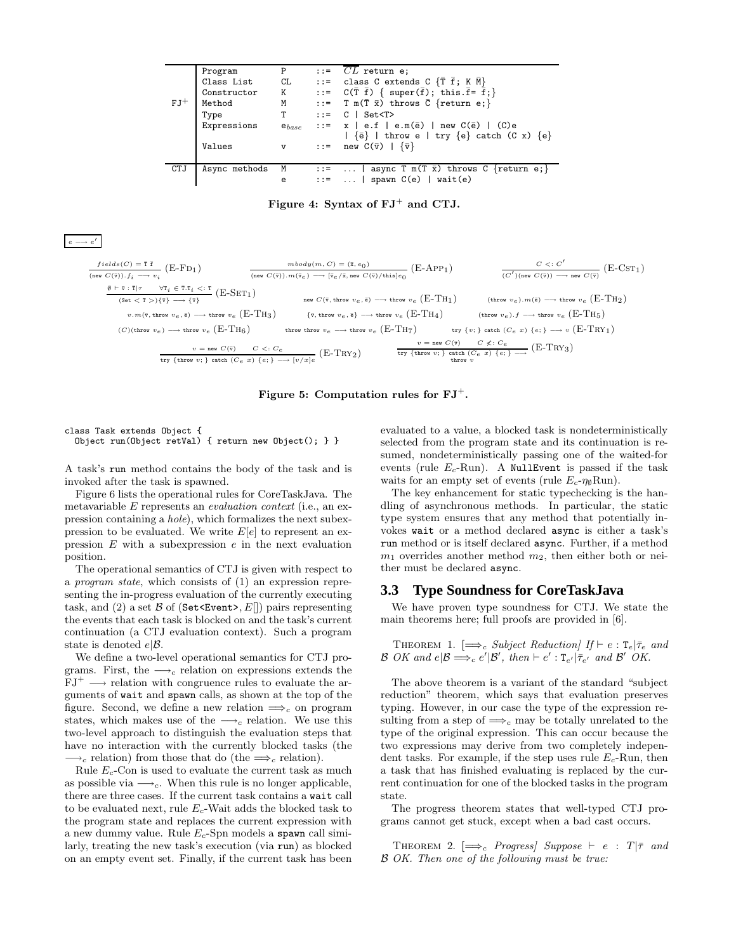| $FJ^+$ | Program<br>Class List<br>Constructor<br>Method<br>Type<br>Expressions<br>Values | P<br>CL<br>K<br>М<br>т<br>$e_{base}$<br>$\mathbf v$ | $\cdots$ $CL$ return e;<br>::= class C extends C $\{T \bar{f}; K \bar{M}\}\$<br>::= $C(\overline{T} \ \overline{f})$ { super( $\overline{f}$ ); this. $\overline{f} = \overline{f}$ ; }<br>::= T m( $\overline{T}$ $\overline{x}$ ) throws $\overline{C}$ {return e;}<br>$\cdot$ := $\circ$   Set <t><br/>::= <math>x \mid e.f \mid e.m(\bar{e}) \mid new C(\bar{e}) \mid (C)e</math><br/><math> \{\bar{e}\}\rangle</math>   throw e   try <math>\{e\}</math> catch (C x) <math>\{e\}</math><br/><math> ::= \text{ new } C(\overline{v})   {\overline{v}}</math></t> |
|--------|---------------------------------------------------------------------------------|-----------------------------------------------------|----------------------------------------------------------------------------------------------------------------------------------------------------------------------------------------------------------------------------------------------------------------------------------------------------------------------------------------------------------------------------------------------------------------------------------------------------------------------------------------------------------------------------------------------------------------------|
| CTJ    | Async methods                                                                   | M<br>e                                              | ::=    async T m(T $\bar{x}$ ) throws C {return e;}<br>$::=$   spawn $C(e)$   wait(e)                                                                                                                                                                                                                                                                                                                                                                                                                                                                                |

Figure 4: Syntax of  $FJ^+$  and CTJ.

#### $e \longrightarrow e$ ′

| $fields(C) = \overline{t}$                                                             | $mbody(m, C) = (\bar{x}, e_0)$                                 | $C <: C'$                                                                             |                                                                                                  |                                                             |                                                                     |         |
|----------------------------------------------------------------------------------------|----------------------------------------------------------------|---------------------------------------------------------------------------------------|--------------------------------------------------------------------------------------------------|-------------------------------------------------------------|---------------------------------------------------------------------|---------|
| (new $C(\overline{v})$ ). $f_i \longrightarrow v_i$                                    | (E-FD1)                                                        | $mbody(m, C) = (\bar{x}, e_0)$                                                        | (E-APP1)                                                                                         | $C <: C'$                                                   |                                                                     |         |
| (C') (new $C(\overline{v})$ ) $\longrightarrow$ new $C(\overline{v})$                  | (E-CST1)                                                       |                                                                                       |                                                                                                  |                                                             |                                                                     |         |
| $\emptyset \mapsto \overline{\tau}$ $\overline{\tau}$                                  | $\forall \tau_i \in \overline{\tau}.\tau_i <: \overline{\tau}$ | (E-SET1)                                                                              | $\text{new } C(\overline{v}, \text{throv } v_e, \overline{a}) \longrightarrow \text{throv } v_e$ | (E-TH1)                                                     | (throw $v_e$ ). $m(\overline{a}) \longrightarrow \text{throv } v_e$ | (E-TH2) |
| $v.m(\overline{v}, \text{throv } v_e, \overline{a}) \longrightarrow \text{throv } v_e$ | (E-TH3)                                                        | $\{\overline{v}, \text{throv } v_e, \overline{a}\} \longrightarrow \text{throv } v_e$ | (E-TH4)                                                                                          | (throw $v_e$ ). $f \longrightarrow \text{throv } v_e$       | (E-TH5)                                                             |         |
| (C)(throw $v_e$ ) $\longrightarrow$ throw $v_e$                                        | (E-TH6)                                                        | throw $v_e$ $\longrightarrow$ throw $v_e$                                             | (E-TH7)                                                                                          | try $\{v_i\}$ catch $(C_e \ x)$ $\{e_i\} \longrightarrow v$ | (E-TRY1)                                                            |         |
| $v = new C(\overline{v})$                                                              | $C <: C_e$                                                     | (E-TRY2)                                                                              | try $\{throw v_i\}$ $\{textrow v_i$                                                              |                                                             |                                                                     |         |

### Figure 5: Computation rules for  $FJ^+$ .

#### class Task extends Object { Object run(Object retVal) { return new Object(); } }

A task's run method contains the body of the task and is invoked after the task is spawned.

Figure 6 lists the operational rules for CoreTaskJava. The metavariable E represents an evaluation context (i.e., an expression containing a hole), which formalizes the next subexpression to be evaluated. We write  $E[e]$  to represent an expression  $E$  with a subexpression  $e$  in the next evaluation position.

The operational semantics of CTJ is given with respect to a program state, which consists of (1) an expression representing the in-progress evaluation of the currently executing task, and (2) a set  $\mathcal B$  of (Set<Event>,  $E[|)$  pairs representing the events that each task is blocked on and the task's current continuation (a CTJ evaluation context). Such a program state is denoted  $e|\mathcal{B}|$ .

We define a two-level operational semantics for CTJ programs. First, the  $\longrightarrow_c$  relation on expressions extends the  $FJ^+ \longrightarrow$  relation with congruence rules to evaluate the arguments of wait and spawn calls, as shown at the top of the figure. Second, we define a new relation  $\Longrightarrow_c$  on program states, which makes use of the  $\longrightarrow_c$  relation. We use this two-level approach to distinguish the evaluation steps that have no interaction with the currently blocked tasks (the  $\rightarrow_c$  relation) from those that do (the  $\Longrightarrow_c$  relation).

Rule  $E_c$ -Con is used to evaluate the current task as much as possible via  $\longrightarrow_c$ . When this rule is no longer applicable, there are three cases. If the current task contains a wait call to be evaluated next, rule  $E_c$ -Wait adds the blocked task to the program state and replaces the current expression with a new dummy value. Rule  $E_c$ -Spn models a spawn call similarly, treating the new task's execution (via run) as blocked on an empty event set. Finally, if the current task has been evaluated to a value, a blocked task is nondeterministically selected from the program state and its continuation is resumed, nondeterministically passing one of the waited-for events (rule  $E_c$ -Run). A NullEvent is passed if the task waits for an empty set of events (rule  $E_c$ - $\eta_{\emptyset}$ Run).

The key enhancement for static typechecking is the handling of asynchronous methods. In particular, the static type system ensures that any method that potentially invokes wait or a method declared async is either a task's run method or is itself declared async. Further, if a method  $m_1$  overrides another method  $m_2$ , then either both or neither must be declared async.

### **3.3 Type Soundness for CoreTaskJava**

We have proven type soundness for CTJ. We state the main theorems here; full proofs are provided in [6].

THEOREM 1. [ $\Longrightarrow_c$  Subject Reduction] If  $\vdash e : \mathsf{T}_e | \bar{\tau}_e$  and B OK and  $e|\mathcal{B} \Longrightarrow_c e'|\mathcal{B}'$ , then  $\vdash e':\mathrm{T}_{e'}|\bar{\tau}_{e'}$  and  $\mathcal{B}'$  OK.

The above theorem is a variant of the standard "subject reduction" theorem, which says that evaluation preserves typing. However, in our case the type of the expression resulting from a step of  $\Longrightarrow_c$  may be totally unrelated to the type of the original expression. This can occur because the two expressions may derive from two completely independent tasks. For example, if the step uses rule  $E_c$ -Run, then a task that has finished evaluating is replaced by the current continuation for one of the blocked tasks in the program state.

The progress theorem states that well-typed CTJ programs cannot get stuck, except when a bad cast occurs.

THEOREM 2.  $[\implies_c$  Progress| Suppose ⊢ e : T| $\bar{\tau}$  and B OK. Then one of the following must be true: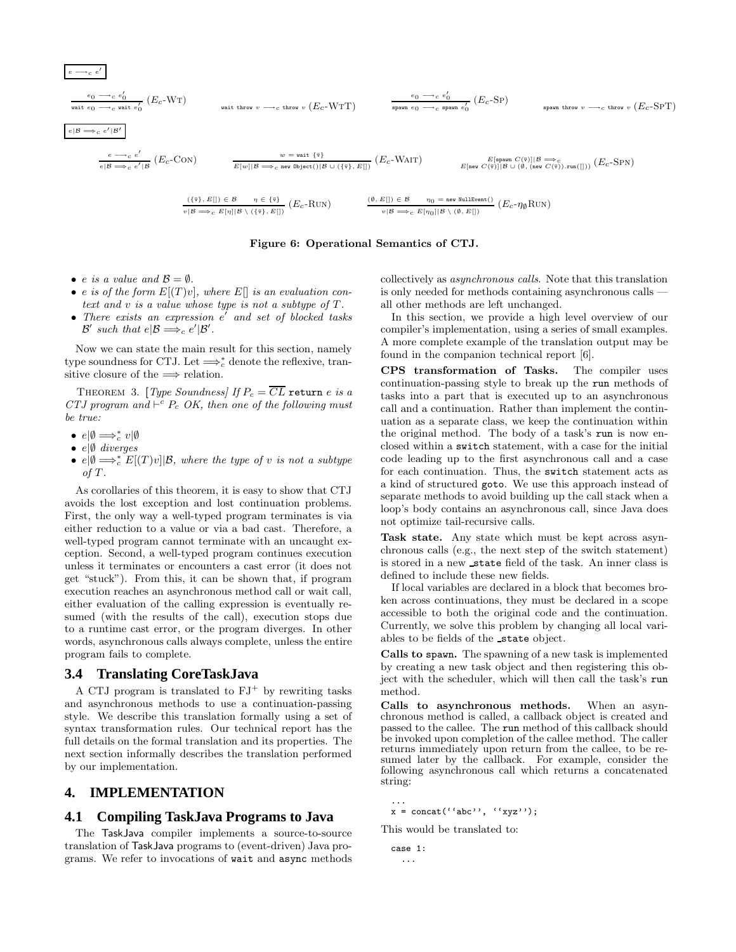$$
\frac{e_0 \to c e'_0}{\text{wait } e_0 \to c \text{ exit } e'_0} (E_c - \text{WT})
$$
\n
$$
\frac{e_0 \to c e'_0}{\text{pair } e_0 \to c \text{ pair throw } v \to c \text{ throw } v} (E_c - \text{WT})
$$
\n
$$
\frac{e_0 \to c e'_0}{\text{span } e_0 \to c \text{ span } e'_0} (E_c - \text{SP})
$$
\n
$$
\frac{e_0 \to c e'_0}{\text{span } e_0 \to c \text{ span } e'_0} (E_c - \text{SP})
$$
\n
$$
\frac{e_0 \to c e'_0}{\text{span } e_0 \to c \text{ span } e'_0} (E_c - \text{SP})
$$
\n
$$
\frac{e_0 \to c e'_0}{\text{span } e_0 \to c \text{ span } e'_0} (E_c - \text{SP})
$$
\n
$$
\frac{e_0 \to c e'_0}{\text{span } e_0 \to c \text{ span } e'_0} (E_c - \text{SP})
$$
\n
$$
\frac{e_0 \to c e'_0}{\text{span } e_0 \to c \text{ span } e'_0} (E_c - \text{SP})
$$
\n
$$
\frac{e_0 \to c e'_0}{\text{span } e_0 \to c \text{ span } e'_0} (E_c - \text{SP})
$$
\n
$$
\frac{e_0 \to c e'_0}{\text{span } e_0 \to c \text{ span } e'_0} (E_c - \text{SP})
$$
\n
$$
\frac{e_0 \to c e'_0}{\text{span } e_0 \to c \text{ span } e'_0} (E_c - \text{SP})
$$
\n
$$
\frac{e_0 \to c e'_0}{\text{span } e_0 \to c \text{ span } e'_0} (E_c - \text{SP})
$$
\n
$$
\frac{e_0 \to c e'_0}{\text{span } e_0 \to c \text{ span } e'_0} (E_c - \text{SP})
$$
\n
$$
\frac{e_0 \to c e'_0}{\text{span } e_0 \to c \text{ span } e'_0} (E_c - \text{SP})
$$
\n
$$
\frac{e_0 \to c e'_0}{\text{span } e_0 \to c \text{ span } e'_0} (E_c - \
$$

#### Figure 6: Operational Semantics of CTJ.

• e is a value and  $\mathcal{B} = \emptyset$ .

 $e \longrightarrow_c e'$ 

- e is of the form  $E[(T)v]$ , where  $E[$  is an evaluation context and v is a value whose type is not a subtype of T.
- There exists an expression  $e'$  and set of blocked tasks  $\mathcal{B}'$  such that  $e|\mathcal{B} \Longrightarrow_c e'|\mathcal{B}'$ .

Now we can state the main result for this section, namely type soundness for CTJ. Let  $\Longrightarrow_c^*$  denote the reflexive, transitive closure of the  $\Longrightarrow$  relation.

THEOREM 3. [Type Soundness] If  $P_c = \overline{CL}$  return e is a CTJ program and  $\vdash^c P_c$  OK, then one of the following must be true:

- $e|\emptyset \Longrightarrow_c^* v|\emptyset$
- $e/\emptyset$  diverges
- $e | \emptyset \Longrightarrow_c^* E[(T)v] | \mathcal{B}$ , where the type of v is not a subtype of T.

As corollaries of this theorem, it is easy to show that CTJ avoids the lost exception and lost continuation problems. First, the only way a well-typed program terminates is via either reduction to a value or via a bad cast. Therefore, a well-typed program cannot terminate with an uncaught exception. Second, a well-typed program continues execution unless it terminates or encounters a cast error (it does not get "stuck"). From this, it can be shown that, if program execution reaches an asynchronous method call or wait call, either evaluation of the calling expression is eventually resumed (with the results of the call), execution stops due to a runtime cast error, or the program diverges. In other words, asynchronous calls always complete, unless the entire program fails to complete.

### **3.4 Translating CoreTaskJava**

A CTJ program is translated to  $FJ^+$  by rewriting tasks and asynchronous methods to use a continuation-passing style. We describe this translation formally using a set of syntax transformation rules. Our technical report has the full details on the formal translation and its properties. The next section informally describes the translation performed by our implementation.

## **4. IMPLEMENTATION**

### **4.1 Compiling TaskJava Programs to Java**

The TaskJava compiler implements a source-to-source translation of TaskJava programs to (event-driven) Java programs. We refer to invocations of wait and async methods

collectively as asynchronous calls. Note that this translation is only needed for methods containing asynchronous calls all other methods are left unchanged.

In this section, we provide a high level overview of our compiler's implementation, using a series of small examples. A more complete example of the translation output may be found in the companion technical report [6].

CPS transformation of Tasks. The compiler uses continuation-passing style to break up the run methods of tasks into a part that is executed up to an asynchronous call and a continuation. Rather than implement the continuation as a separate class, we keep the continuation within the original method. The body of a task's run is now enclosed within a switch statement, with a case for the initial code leading up to the first asynchronous call and a case for each continuation. Thus, the switch statement acts as a kind of structured goto. We use this approach instead of separate methods to avoid building up the call stack when a loop's body contains an asynchronous call, since Java does not optimize tail-recursive calls.

Task state. Any state which must be kept across asynchronous calls (e.g., the next step of the switch statement) is stored in a new state field of the task. An inner class is defined to include these new fields.

If local variables are declared in a block that becomes broken across continuations, they must be declared in a scope accessible to both the original code and the continuation. Currently, we solve this problem by changing all local variables to be fields of the state object.

Calls to spawn. The spawning of a new task is implemented by creating a new task object and then registering this object with the scheduler, which will then call the task's run method.

Calls to asynchronous methods. When an asynchronous method is called, a callback object is created and passed to the callee. The run method of this callback should be invoked upon completion of the callee method. The caller returns immediately upon return from the callee, to be resumed later by the callback. For example, consider the following asynchronous call which returns a concatenated string:

...  $x = \text{concat}('iabc'); 'xyz');$ 

This would be translated to:

case 1: ...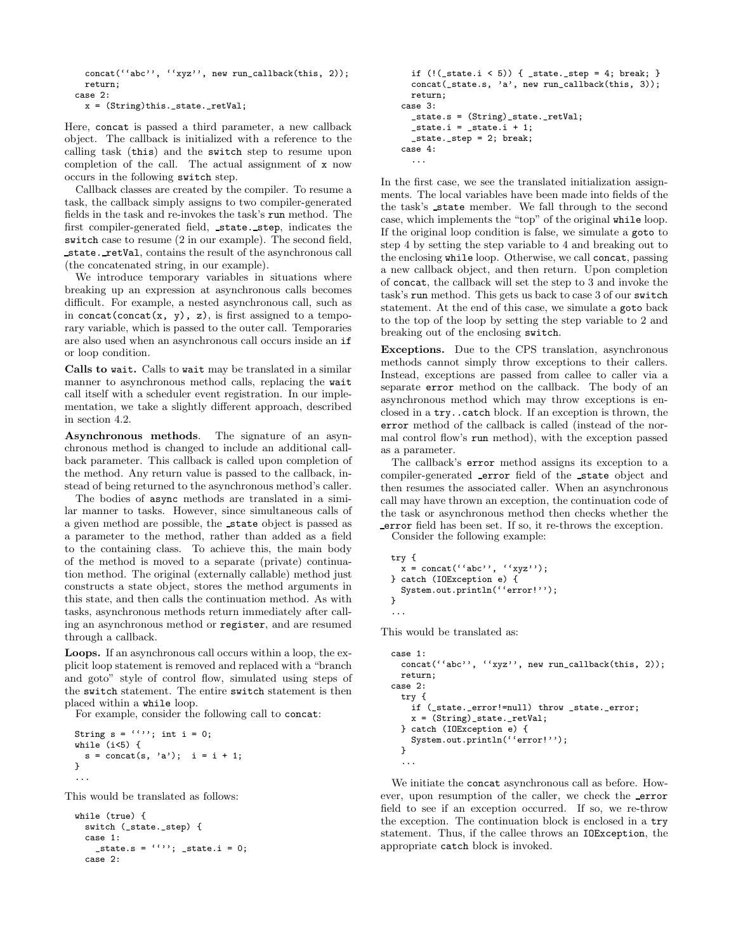```
concat(''abc'', ''xyz'', new run_callback(this, 2));
 return;
case 2:
 x = (String)this._state._retVal;
```
Here, concat is passed a third parameter, a new callback object. The callback is initialized with a reference to the calling task (this) and the switch step to resume upon completion of the call. The actual assignment of x now occurs in the following switch step.

Callback classes are created by the compiler. To resume a task, the callback simply assigns to two compiler-generated fields in the task and re-invokes the task's run method. The first compiler-generated field, state. step, indicates the switch case to resume (2 in our example). The second field, state. retVal, contains the result of the asynchronous call (the concatenated string, in our example).

We introduce temporary variables in situations where breaking up an expression at asynchronous calls becomes difficult. For example, a nested asynchronous call, such as in concat(concat(x, y), z), is first assigned to a temporary variable, which is passed to the outer call. Temporaries are also used when an asynchronous call occurs inside an if or loop condition.

Calls to wait. Calls to wait may be translated in a similar manner to asynchronous method calls, replacing the wait call itself with a scheduler event registration. In our implementation, we take a slightly different approach, described in section 4.2.

Asynchronous methods. The signature of an asynchronous method is changed to include an additional callback parameter. This callback is called upon completion of the method. Any return value is passed to the callback, instead of being returned to the asynchronous method's caller.

The bodies of async methods are translated in a similar manner to tasks. However, since simultaneous calls of a given method are possible, the state object is passed as a parameter to the method, rather than added as a field to the containing class. To achieve this, the main body of the method is moved to a separate (private) continuation method. The original (externally callable) method just constructs a state object, stores the method arguments in this state, and then calls the continuation method. As with tasks, asynchronous methods return immediately after calling an asynchronous method or register, and are resumed through a callback.

Loops. If an asynchronous call occurs within a loop, the explicit loop statement is removed and replaced with a "branch and goto" style of control flow, simulated using steps of the switch statement. The entire switch statement is then placed within a while loop.

For example, consider the following call to concat:

```
String s = \{(')\}\; ; int i = 0;
while (i<5) {
  s = \text{concat}(s, 'a'); i = i + 1;}
...
```
This would be translated as follows:

```
while (true) {
  switch (_state._step) {
  case 1:
     _{{\text{state.s}}} = ''''; _{{\text{state.i}}} = 0;
  case 2:
```

```
if (!(\_state.i \le 5)) \{ \_state.\_step = 4; break; \}concat(_state.s, 'a', new run_callback(this, 3));
 return;
case 3:
  _state.s = (String)_state._retVal;
  _ _state.i = _state.i + 1;
  _state._step = 2; break;
case 4:
  ...
```
In the first case, we see the translated initialization assignments. The local variables have been made into fields of the the task's state member. We fall through to the second case, which implements the "top" of the original while loop. If the original loop condition is false, we simulate a goto to step 4 by setting the step variable to 4 and breaking out to the enclosing while loop. Otherwise, we call concat, passing a new callback object, and then return. Upon completion of concat, the callback will set the step to 3 and invoke the task's run method. This gets us back to case 3 of our switch statement. At the end of this case, we simulate a goto back to the top of the loop by setting the step variable to 2 and breaking out of the enclosing switch.

Exceptions. Due to the CPS translation, asynchronous methods cannot simply throw exceptions to their callers. Instead, exceptions are passed from callee to caller via a separate error method on the callback. The body of an asynchronous method which may throw exceptions is enclosed in a try..catch block. If an exception is thrown, the error method of the callback is called (instead of the normal control flow's run method), with the exception passed as a parameter.

The callback's error method assigns its exception to a compiler-generated error field of the state object and then resumes the associated caller. When an asynchronous call may have thrown an exception, the continuation code of the task or asynchronous method then checks whether the error field has been set. If so, it re-throws the exception.

Consider the following example:

```
try {
 x = \text{concat}('iabc''), (ixyz'');
} catch (IOException e) {
  System.out.println(''error!'');
}
...
```
This would be translated as:

```
case 1:
 concat(''abc'', ''xyz'', new run_callback(this, 2));
 return;
case 2:
 try {
   if (_state._error!=null) throw _state._error;
   x = (String)_state._retVal;
 } catch (IOException e) {
   System.out.println(''error!'');
 }
  ...
```
We initiate the concat asynchronous call as before. However, upon resumption of the caller, we check the error field to see if an exception occurred. If so, we re-throw the exception. The continuation block is enclosed in a try statement. Thus, if the callee throws an IOException, the appropriate catch block is invoked.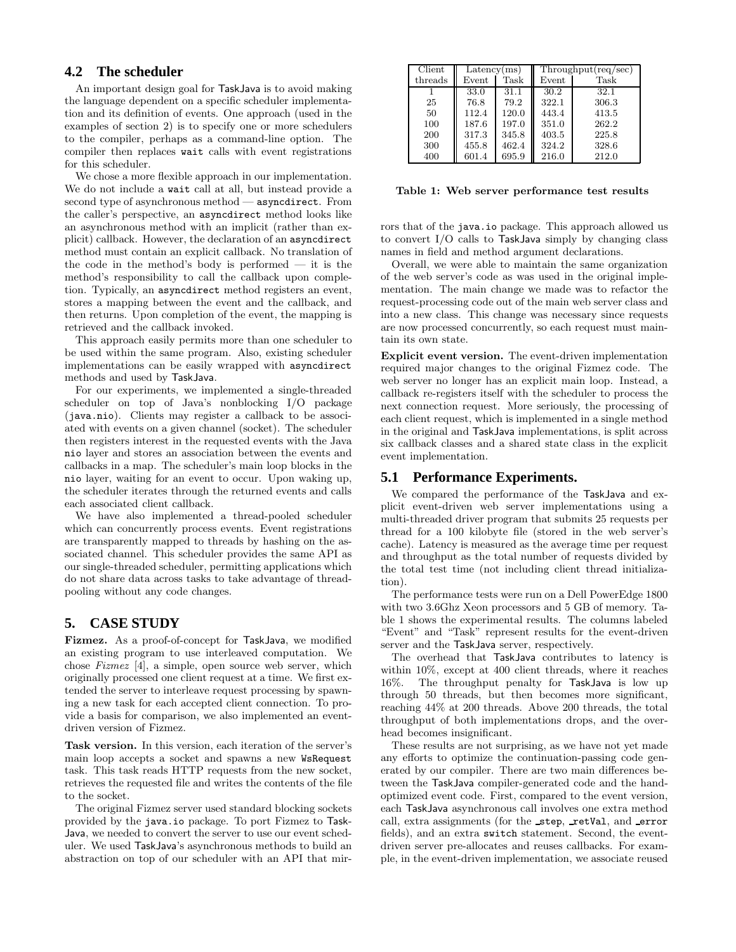### **4.2 The scheduler**

An important design goal for TaskJava is to avoid making the language dependent on a specific scheduler implementation and its definition of events. One approach (used in the examples of section 2) is to specify one or more schedulers to the compiler, perhaps as a command-line option. The compiler then replaces wait calls with event registrations for this scheduler.

We chose a more flexible approach in our implementation. We do not include a wait call at all, but instead provide a second type of asynchronous method — asyncdirect. From the caller's perspective, an asyncdirect method looks like an asynchronous method with an implicit (rather than explicit) callback. However, the declaration of an asyncdirect method must contain an explicit callback. No translation of the code in the method's body is performed — it is the method's responsibility to call the callback upon completion. Typically, an asyncdirect method registers an event, stores a mapping between the event and the callback, and then returns. Upon completion of the event, the mapping is retrieved and the callback invoked.

This approach easily permits more than one scheduler to be used within the same program. Also, existing scheduler implementations can be easily wrapped with asyncdirect methods and used by TaskJava.

For our experiments, we implemented a single-threaded scheduler on top of Java's nonblocking I/O package (java.nio). Clients may register a callback to be associated with events on a given channel (socket). The scheduler then registers interest in the requested events with the Java nio layer and stores an association between the events and callbacks in a map. The scheduler's main loop blocks in the nio layer, waiting for an event to occur. Upon waking up, the scheduler iterates through the returned events and calls each associated client callback.

We have also implemented a thread-pooled scheduler which can concurrently process events. Event registrations are transparently mapped to threads by hashing on the associated channel. This scheduler provides the same API as our single-threaded scheduler, permitting applications which do not share data across tasks to take advantage of threadpooling without any code changes.

### **5. CASE STUDY**

Fizmez. As a proof-of-concept for TaskJava, we modified an existing program to use interleaved computation. We chose Fizmez [4], a simple, open source web server, which originally processed one client request at a time. We first extended the server to interleave request processing by spawning a new task for each accepted client connection. To provide a basis for comparison, we also implemented an eventdriven version of Fizmez.

Task version. In this version, each iteration of the server's main loop accepts a socket and spawns a new WsRequest task. This task reads HTTP requests from the new socket, retrieves the requested file and writes the contents of the file to the socket.

The original Fizmez server used standard blocking sockets provided by the java.io package. To port Fizmez to Task-Java, we needed to convert the server to use our event scheduler. We used TaskJava's asynchronous methods to build an abstraction on top of our scheduler with an API that mir-

| Client  | Latency(ms) |       | Throughout (req/sec) |       |
|---------|-------------|-------|----------------------|-------|
| threads | Event       | Task  | Event                | Task  |
|         | 33.0        | 31.1  | 30.2                 | 32.1  |
| 25      | 76.8        | 79.2  | 322.1                | 306.3 |
| 50      | 112.4       | 120.0 | 443.4                | 413.5 |
| 100     | 187.6       | 197.0 | 351.0                | 262.2 |
| 200     | 317.3       | 345.8 | 403.5                | 225.8 |
| 300     | 455.8       | 462.4 | 324.2                | 328.6 |
| 400     | 601.4       | 695.9 | 216.0                | 212.0 |

Table 1: Web server performance test results

rors that of the java.io package. This approach allowed us to convert I/O calls to TaskJava simply by changing class names in field and method argument declarations.

Overall, we were able to maintain the same organization of the web server's code as was used in the original implementation. The main change we made was to refactor the request-processing code out of the main web server class and into a new class. This change was necessary since requests are now processed concurrently, so each request must maintain its own state.

Explicit event version. The event-driven implementation required major changes to the original Fizmez code. The web server no longer has an explicit main loop. Instead, a callback re-registers itself with the scheduler to process the next connection request. More seriously, the processing of each client request, which is implemented in a single method in the original and TaskJava implementations, is split across six callback classes and a shared state class in the explicit event implementation.

### **5.1 Performance Experiments.**

We compared the performance of the TaskJava and explicit event-driven web server implementations using a multi-threaded driver program that submits 25 requests per thread for a 100 kilobyte file (stored in the web server's cache). Latency is measured as the average time per request and throughput as the total number of requests divided by the total test time (not including client thread initialization).

The performance tests were run on a Dell PowerEdge 1800 with two 3.6Ghz Xeon processors and 5 GB of memory. Table 1 shows the experimental results. The columns labeled "Event" and "Task" represent results for the event-driven server and the TaskJava server, respectively.

The overhead that TaskJava contributes to latency is within 10%, except at 400 client threads, where it reaches 16%. The throughput penalty for TaskJava is low up through 50 threads, but then becomes more significant, reaching 44% at 200 threads. Above 200 threads, the total throughput of both implementations drops, and the overhead becomes insignificant.

These results are not surprising, as we have not yet made any efforts to optimize the continuation-passing code generated by our compiler. There are two main differences between the TaskJava compiler-generated code and the handoptimized event code. First, compared to the event version, each TaskJava asynchronous call involves one extra method call, extra assignments (for the step, retVal, and error fields), and an extra switch statement. Second, the eventdriven server pre-allocates and reuses callbacks. For example, in the event-driven implementation, we associate reused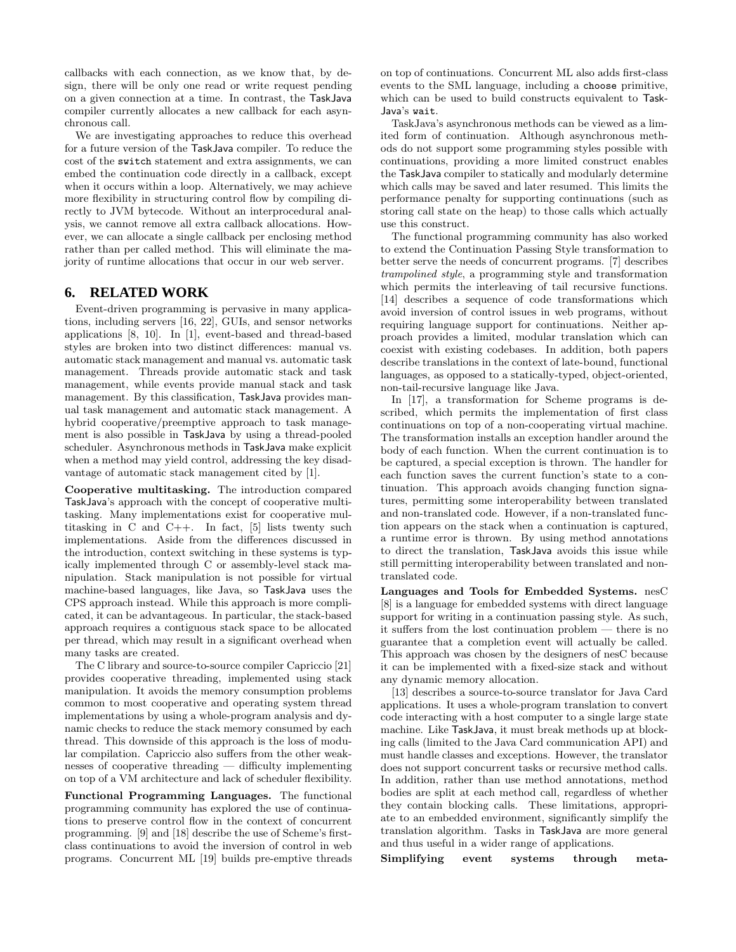callbacks with each connection, as we know that, by design, there will be only one read or write request pending on a given connection at a time. In contrast, the TaskJava compiler currently allocates a new callback for each asynchronous call.

We are investigating approaches to reduce this overhead for a future version of the TaskJava compiler. To reduce the cost of the switch statement and extra assignments, we can embed the continuation code directly in a callback, except when it occurs within a loop. Alternatively, we may achieve more flexibility in structuring control flow by compiling directly to JVM bytecode. Without an interprocedural analysis, we cannot remove all extra callback allocations. However, we can allocate a single callback per enclosing method rather than per called method. This will eliminate the majority of runtime allocations that occur in our web server.

### **6. RELATED WORK**

Event-driven programming is pervasive in many applications, including servers [16, 22], GUIs, and sensor networks applications [8, 10]. In [1], event-based and thread-based styles are broken into two distinct differences: manual vs. automatic stack management and manual vs. automatic task management. Threads provide automatic stack and task management, while events provide manual stack and task management. By this classification, TaskJava provides manual task management and automatic stack management. A hybrid cooperative/preemptive approach to task management is also possible in TaskJava by using a thread-pooled scheduler. Asynchronous methods in TaskJava make explicit when a method may yield control, addressing the key disadvantage of automatic stack management cited by [1].

Cooperative multitasking. The introduction compared TaskJava's approach with the concept of cooperative multitasking. Many implementations exist for cooperative multitasking in  $C$  and  $C++$ . In fact,  $[5]$  lists twenty such implementations. Aside from the differences discussed in the introduction, context switching in these systems is typically implemented through C or assembly-level stack manipulation. Stack manipulation is not possible for virtual machine-based languages, like Java, so TaskJava uses the CPS approach instead. While this approach is more complicated, it can be advantageous. In particular, the stack-based approach requires a contiguous stack space to be allocated per thread, which may result in a significant overhead when many tasks are created.

The C library and source-to-source compiler Capriccio [21] provides cooperative threading, implemented using stack manipulation. It avoids the memory consumption problems common to most cooperative and operating system thread implementations by using a whole-program analysis and dynamic checks to reduce the stack memory consumed by each thread. This downside of this approach is the loss of modular compilation. Capriccio also suffers from the other weaknesses of cooperative threading — difficulty implementing on top of a VM architecture and lack of scheduler flexibility.

Functional Programming Languages. The functional programming community has explored the use of continuations to preserve control flow in the context of concurrent programming. [9] and [18] describe the use of Scheme's firstclass continuations to avoid the inversion of control in web programs. Concurrent ML [19] builds pre-emptive threads on top of continuations. Concurrent ML also adds first-class events to the SML language, including a choose primitive, which can be used to build constructs equivalent to Task-Java's wait.

TaskJava's asynchronous methods can be viewed as a limited form of continuation. Although asynchronous methods do not support some programming styles possible with continuations, providing a more limited construct enables the TaskJava compiler to statically and modularly determine which calls may be saved and later resumed. This limits the performance penalty for supporting continuations (such as storing call state on the heap) to those calls which actually use this construct.

The functional programming community has also worked to extend the Continuation Passing Style transformation to better serve the needs of concurrent programs. [7] describes trampolined style, a programming style and transformation which permits the interleaving of tail recursive functions. [14] describes a sequence of code transformations which avoid inversion of control issues in web programs, without requiring language support for continuations. Neither approach provides a limited, modular translation which can coexist with existing codebases. In addition, both papers describe translations in the context of late-bound, functional languages, as opposed to a statically-typed, object-oriented, non-tail-recursive language like Java.

In [17], a transformation for Scheme programs is described, which permits the implementation of first class continuations on top of a non-cooperating virtual machine. The transformation installs an exception handler around the body of each function. When the current continuation is to be captured, a special exception is thrown. The handler for each function saves the current function's state to a continuation. This approach avoids changing function signatures, permitting some interoperability between translated and non-translated code. However, if a non-translated function appears on the stack when a continuation is captured, a runtime error is thrown. By using method annotations to direct the translation, TaskJava avoids this issue while still permitting interoperability between translated and nontranslated code.

Languages and Tools for Embedded Systems. nesC [8] is a language for embedded systems with direct language support for writing in a continuation passing style. As such, it suffers from the lost continuation problem — there is no guarantee that a completion event will actually be called. This approach was chosen by the designers of nesC because it can be implemented with a fixed-size stack and without any dynamic memory allocation.

[13] describes a source-to-source translator for Java Card applications. It uses a whole-program translation to convert code interacting with a host computer to a single large state machine. Like TaskJava, it must break methods up at blocking calls (limited to the Java Card communication API) and must handle classes and exceptions. However, the translator does not support concurrent tasks or recursive method calls. In addition, rather than use method annotations, method bodies are split at each method call, regardless of whether they contain blocking calls. These limitations, appropriate to an embedded environment, significantly simplify the translation algorithm. Tasks in TaskJava are more general and thus useful in a wider range of applications.

Simplifying event systems through meta-